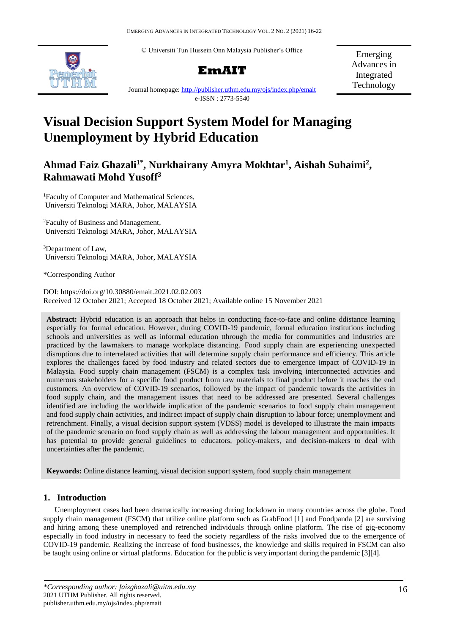© Universiti Tun Hussein Onn Malaysia Publisher's Office





Emerging Advances in Integrated Technology

Journal homepage:<http://publisher.uthm.edu.my/ojs/index.php/emait> e-ISSN : 2773-5540

# **Visual Decision Support System Model for Managing Unemployment by Hybrid Education**

## **Ahmad Faiz Ghazali1\* , Nurkhairany Amyra Mokhtar<sup>1</sup> , Aishah Suhaimi<sup>2</sup> , Rahmawati Mohd Yusoff<sup>3</sup>**

<sup>1</sup>Faculty of Computer and Mathematical Sciences, Universiti Teknologi MARA, Johor, MALAYSIA

<sup>2</sup>Faculty of Business and Management, Universiti Teknologi MARA, Johor, MALAYSIA

<sup>3</sup>Department of Law, Universiti Teknologi MARA, Johor, MALAYSIA

\*Corresponding Author

DOI: https://doi.org/10.30880/emait.2021.02.02.003 Received 12 October 2021; Accepted 18 October 2021; Available online 15 November 2021

**Abstract:** Hybrid education is an approach that helps in conducting face-to-face and online ddistance learning especially for formal education. However, during COVID-19 pandemic, formal education institutions including schools and universities as well as informal education tthrough the media for communities and industries are practiced by the lawmakers to manage workplace distancing. Food supply chain are experiencing unexpected disruptions due to interrelated activities that will determine supply chain performance and efficiency. This article explores the challenges faced by food industry and related sectors due to emergence impact of COVID-19 in Malaysia. Food supply chain management (FSCM) is a complex task involving interconnected activities and numerous stakeholders for a specific food product from raw materials to final product before it reaches the end customers. An overview of COVID-19 scenarios, followed by the impact of pandemic towards the activities in food supply chain, and the management issues that need to be addressed are presented. Several challenges identified are including the worldwide implication of the pandemic scenarios to food supply chain management and food supply chain activities, and indirect impact of supply chain disruption to labour force; unemployment and retrenchment. Finally, a visual decision support system (VDSS) model is developed to illustrate the main impacts of the pandemic scenario on food supply chain as well as addressing the labour management and opportunities. It has potential to provide general guidelines to educators, policy-makers, and decision-makers to deal with uncertainties after the pandemic.

**Keywords:** Online distance learning, visual decision support system, food supply chain management

### **1. Introduction**

Unemployment cases had been dramatically increasing during lockdown in many countries across the globe. Food supply chain management (FSCM) that utilize online platform such as GrabFood [1] and Foodpanda [2] are surviving and hiring among these unemployed and retrenched individuals through online platform. The rise of gig-economy especially in food industry in necessary to feed the society regardless of the risks involved due to the emergence of COVID-19 pandemic. Realizing the increase of food businesses, the knowledge and skills required in FSCM can also be taught using online or virtual platforms. Education for the public is very important during the pandemic [3][4].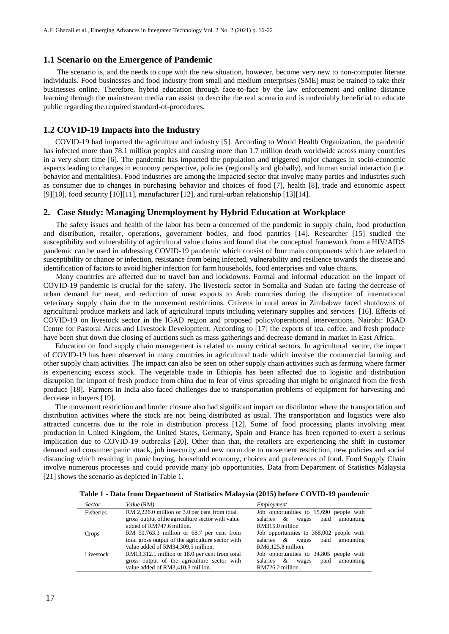#### **1.1 Scenario on the Emergence of Pandemic**

The scenario is, and the needs to cope with the new situation, however, become very new to non-computer literate individuals. Food businesses and food industry from small and medium enterprises (SME) must be trained to take their businesses online. Therefore, hybrid education through face-to-face by the law enforcement and online distance learning through the mainstream media can assist to describe the real scenario and is undeniably beneficial to educate public regarding the.required standard-of-procedures.

#### **1.2 COVID-19 Impacts into the Industry**

COVID-19 had impacted the agriculture and industry [5]. According to World Health Organization, the pandemic has infected more than 78.1 million peoples and causing more than 1.7 million death worldwide across many countries in a very short time [6]. The pandemic has impacted the population and triggered major changes in socio-economic aspects leading to changes in economy perspective, policies (regionally and globally), and human social interaction (i.e. behavior and mentalities). Food industries are among the impacted sector that involve many parties and industries such as consumer due to changes in purchasing behavior and choices of food [7], health [8], trade and economic aspect [9][10], food security [10][11], manufacturer [12], and rural-urban relationship [13][14].

#### **2. Case Study: Managing Unemployment by Hybrid Education at Workplace**

The safety issues and health of the labor has been a concerned of the pandemic in supply chain, food production and distribution, retailer, operations, government bodies, and food pantries [14]. Researcher [15] studied the susceptibility and vulnerability of agricultural value chains and found that the conceptual framework from a HIV/AIDS pandemic can be used in addressing COVID-19 pandemic which consist of four main components which are related to susceptibility or chance or infection, resistance from being infected, vulnerability and resilience towards the disease and identification of factors to avoid higher infection for farmhouseholds, food enterprises and value chains.

Many countries are affected due to travel ban and lockdowns. Formal and informal education on the impact of COVID-19 pandemic is crucial for the safety. The livestock sector in Somalia and Sudan are facing the decrease of urban demand for meat, and reduction of meat exports to Arab countries during the disruption of international veterinary supply chain due to the movement restrictions. Citizens in rural areas in Zimbabwe faced shutdowns of agricultural produce markets and lack of agricultural inputs including veterinary supplies and services. [16]. Effects of COVID-19 on livestock sector in the IGAD region and proposed policy/operational interventions. Nairobi: IGAD Centre for Pastoral Areas and Livestock Development. According to [17] the exports of tea, coffee, and fresh produce have been shut down due closing of auctions such as mass gatherings and decrease demand in market in East Africa.

Education on food supply chain management is related to many critical sectors. In agricultural sector, the impact of COVID-19 has been observed in many countries in agricultural trade which involve the commercial farming and other supply chain activities. The impact can also be seen on other supply chain activities such as farming where farmer is experiencing excess stock. The vegetable trade in Ethiopia has been affected due to logistic and distribution disruption for import of fresh produce from china due to fear of virus spreading that might be originated from the fresh produce [18]. Farmers in India also faced challenges due to transportation problems of equipment for harvesting and decrease in buyers [19].

The movement restriction and border closure also had significant impact on distributor where the transportation and distribution activities where the stock are not being distributed as usual. The transportation and logistics were also attracted concerns due to the role in distribution process [12]. Some of food processing plants involving meat production in United Kingdom, the United States, Germany, Spain and France has been reported to exert a serious implication due to COVID-19 outbreaks [20]. Other than that, the retailers are experiencing the shift in customer demand and consumer panic attack, job insecurity and new norm due to movement restriction, new policies and social distancing which resulting in panic buying, household economy, choices and preferences of food. Food Supply Chain involve numerous processes and could provide many job opportunities. Data from Department of Statistics Malaysia [21] shows the scenario as depicted in Table 1.

**Table 1 - Data from Department of Statistics Malaysia (2015) before COVID-19 pandemic**

| <i>Sector</i> | Value (RM)                                        | Employment                                     |
|---------------|---------------------------------------------------|------------------------------------------------|
| Fisheries     | RM 2,226.0 million or 3.0 per cent from total     | Job opportunities to 15,690 people with        |
|               | gross output of the agriculture sector with value | salaries &<br>paid<br>amounting<br>wages       |
|               | added of RM747.6 million.                         | RM315.0 million                                |
| Crops         | RM 50,763.3 million or 68.7 per cent from         | Job opportunities to 368,002 people with       |
|               | total gross output of the agriculture sector with | salaries & wages<br>paid<br>amounting          |
|               | value added of RM34,309.5 million.                | RM6.125.8 million.                             |
| Livestock     | RM13,312.1 million or 18.0 per cent from total    | Job opportunities to 34,805 people with        |
|               | gross output of the agriculture sector with       | salaries<br>$\&$<br>amounting<br>paid<br>wages |
|               | value added of RM3,410.3 million.                 | RM726.2 million.                               |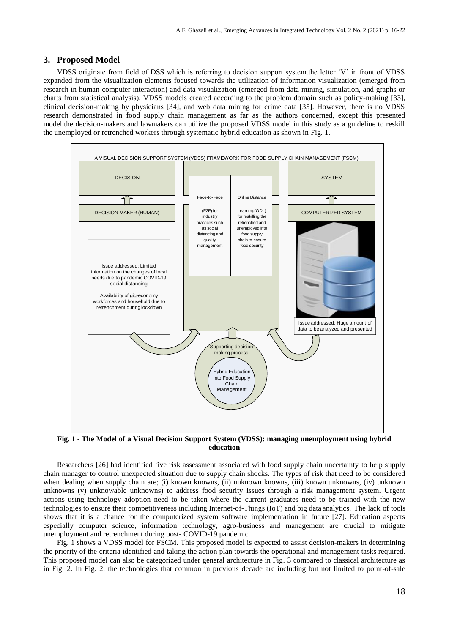#### **3. Proposed Model**

VDSS originate from field of DSS which is referring to decision support system.the letter 'V' in front of VDSS expanded from the visualization elements focused towards the utilization of information visualization (emerged from research in human-computer interaction) and data visualization (emerged from data mining, simulation, and graphs or charts from statistical analysis). VDSS models created according to the problem domain such as policy-making [33], clinical decision-making by physicians [34], and web data mining for crime data [35]. However, there is no VDSS research demonstrated in food supply chain management as far as the authors concerned, except this presented model.the decision-makers and lawmakers can utilize the proposed VDSS model in this study as a guideline to reskill the unemployed or retrenched workers through systematic hybrid education as shown in Fig. 1.



**Fig. 1 - The Model of a Visual Decision Support System (VDSS): managing unemployment using hybrid education**

Researchers [26] had identified five risk assessment associated with food supply chain uncertainty to help supply chain manager to control unexpected situation due to supply chain shocks. The types of risk that need to be considered when dealing when supply chain are; (i) known knowns, (ii) unknown knowns, (iii) known unknowns, (iv) unknown unknowns (v) unknowable unknowns) to address food security issues through a risk management system. Urgent actions using technology adoption need to be taken where the current graduates need to be trained with the new technologies to ensure their competitiveness including Internet-of-Things (IoT) and big data analytics. The lack of tools shows that it is a chance for the computerized system software implementation in future [27]. Education aspects especially computer science, information technology, agro-business and management are crucial to mitigate unemployment and retrenchment during post- COVID-19 pandemic.

Fig. 1 shows a VDSS model for FSCM. This proposed model is expected to assist decision-makers in determining the priority of the criteria identified and taking the action plan towards the operational and management tasks required. This proposed model can also be categorized under general architecture in Fig. 3 compared to classical architecture as in Fig. 2. In Fig. 2, the technologies that common in previous decade are including but not limited to point-of-sale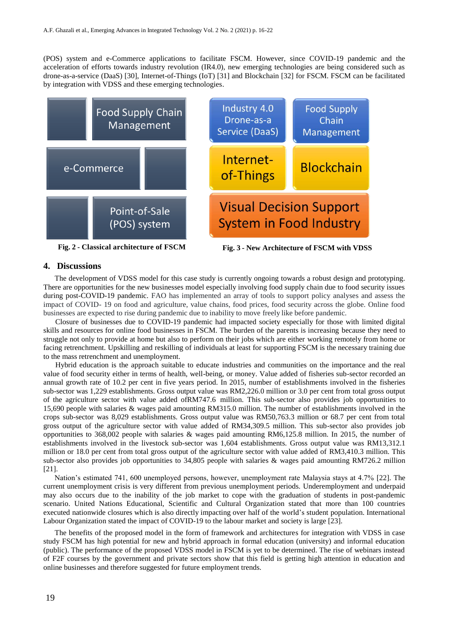(POS) system and e-Commerce applications to facilitate FSCM. However, since COVID-19 pandemic and the acceleration of efforts towards industry revolution (IR4.0), new emerging technologies are being considered such as drone-as-a-service (DaaS) [30], Internet-of-Things (IoT) [31] and Blockchain [32] for FSCM. FSCM can be facilitated by integration with VDSS and these emerging technologies.



#### **4. Discussions**

The development of VDSS model for this case study is currently ongoing towards a robust design and prototyping. There are opportunities for the new businesses model especially involving food supply chain due to food security issues during post-COVID-19 pandemic. FAO has implemented an array of tools to support policy analyses and assess the impact of COVID- 19 on food and agriculture, value chains, food prices, food security across the globe. Online food businesses are expected to rise during pandemic due to inability to move freely like before pandemic.

Closure of businesses due to COVID-19 pandemic had impacted society especially for those with limited digital skills and resources for online food businesses in FSCM. The burden of the parents is increasing because they need to struggle not only to provide at home but also to perform on their jobs which are either working remotely from home or facing retrenchment. Upskilling and reskilling of individuals at least for supporting FSCM is the necessary training due to the mass retrenchment and unemployment.

Hybrid education is the approach suitable to educate industries and communities on the importance and the real value of food security either in terms of health, well-being, or money. Value added of fisheries sub-sector recorded an annual growth rate of 10.2 per cent in five years period. In 2015, number of establishments involved in the fisheries sub-sector was 1,229 establishments. Gross output value was RM2,226.0 million or 3.0 per cent from total gross output of the agriculture sector with value added ofRM747.6 million. This sub-sector also provides job opportunities to 15,690 people with salaries & wages paid amounting RM315.0 million. The number of establishments involved in the crops sub-sector was 8,029 establishments. Gross output value was RM50,763.3 million or 68.7 per cent from total gross output of the agriculture sector with value added of RM34,309.5 million. This sub-sector also provides job opportunities to 368,002 people with salaries & wages paid amounting RM6,125.8 million. In 2015, the number of establishments involved in the livestock sub-sector was 1,604 establishments. Gross output value was RM13,312.1 million or 18.0 per cent from total gross output of the agriculture sector with value added of RM3,410.3 million. This sub-sector also provides job opportunities to 34,805 people with salaries & wages paid amounting RM726.2 million [21].

Nation's estimated 741, 600 unemployed persons, however, unemployment rate Malaysia stays at 4.7% [22]. The current unemployment crisis is very different from previous unemployment periods. Underemployment and underpaid may also occurs due to the inability of the job market to cope with the graduation of students in post-pandemic scenario. United Nations Educational, Scientific and Cultural Organization stated that more than 100 countries executed nationwide closures which is also directly impacting over half of the world's student population. International Labour Organization stated the impact of COVID-19 to the labour market and society is large [23].

The benefits of the proposed model in the form of framework and architectures for integration with VDSS in case study FSCM has high potential for new and hybrid approach in formal education (university) and informal education (public). The performance of the proposed VDSS model in FSCM is yet to be determined. The rise of webinars instead of F2F courses by the government and private sectors show that this field is getting high attention in education and online businesses and therefore suggested for future employment trends.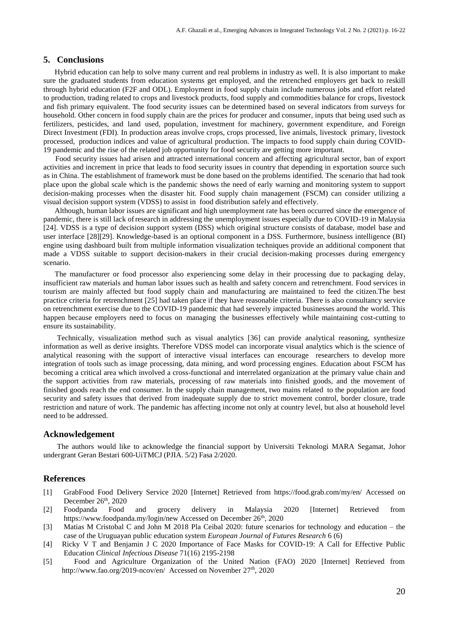#### **5. Conclusions**

Hybrid education can help to solve many current and real problems in industry as well. It is also important to make sure the graduated students from education systems get employed, and the retrenched employers get back to reskill through hybrid education (F2F and ODL). Employment in food supply chain include numerous jobs and effort related to production, trading related to crops and livestock products, food supply and commodities balance for crops, livestock and fish primary equivalent. The food security issues can be determined based on several indicators from surveys for household. Other concern in food supply chain are the prices for producer and consumer, inputs that being used such as fertilizers, pesticides, and land used, population, investment for machinery, government expenditure, and Foreign Direct Investment (FDI). In production areas involve crops, crops processed, live animals, livestock primary, livestock processed, production indices and value of agricultural production. The impacts to food supply chain during COVID-19 pandemic and the rise of the related job opportunity for food security are getting more important.

Food security issues had arisen and attracted international concern and affecting agricultural sector, ban of export activities and increment in price that leads to food security issues in country that depending in exportation source such as in China. The establishment of framework must be done based on the problems identified. The scenario that had took place upon the global scale which is the pandemic shows the need of early warning and monitoring system to support decision-making processes when the disaster hit. Food supply chain management (FSCM) can consider utilizing a visual decision support system (VDSS) to assist in food distribution safely and effectively.

Although, human labor issues are significant and high unemployment rate has been occurred since the emergence of pandemic, there is still lack ofresearch in addressing the unemployment issues especially due to COVID-19 in Malaysia [24]. VDSS is a type of decision support system (DSS) which original structure consists of database, model base and user interface [28][29]. Knowledge-based is an optional component in a DSS. Furthermore, business intelligence (BI) engine using dashboard built from multiple information visualization techniques provide an additional component that made a VDSS suitable to support decision-makers in their crucial decision-making processes during emergency scenario.

The manufacturer or food processor also experiencing some delay in their processing due to packaging delay, insufficient raw materials and human labor issues such as health and safety concern and retrenchment. Food services in tourism are mainly affected but food supply chain and manufacturing are maintained to feed the citizen.The best practice criteria for retrenchment [25] had taken place if they have reasonable criteria. There is also consultancy service on retrenchment exercise due to the COVID-19 pandemic that had severely impacted businesses around the world. This happen because employers need to focus on managing the businesses effectively while maintaining cost-cutting to ensure its sustainability.

Technically, visualization method such as visual analytics [36] can provide analytical reasoning, synthesize information as well as derive insights. Therefore VDSS model can incorporate visual analytics which is the science of analytical reasoning with the support of interactive visual interfaces can encourage researchers to develop more integration of tools such as image processing, data mining, and word processing engines. Education about FSCM has becoming a critical area which involved a cross-functional and interrelated organization at the primary value chain and the support activities from raw materials, processing of raw materials into finished goods, and the movement of finished goods reach the end consumer. In the supply chain management, two mains related to the population are food security and safety issues that derived from inadequate supply due to strict movement control, border closure, trade restriction and nature of work. The pandemic has affecting income not only at country level, but also at household level need to be addressed.

#### **Acknowledgement**

The authors would like to acknowledge the financial support by Universiti Teknologi MARA Segamat, Johor undergrant Geran Bestari 600-UiTMCJ (PJIA. 5/2) Fasa 2/2020.

#### **References**

- [1] GrabFood Food Delivery Service 2020 [Internet] Retrieved from https://food.grab.com/my/en/ Accessed on December 26<sup>th</sup>, 2020
- [2] Foodpanda Food and grocery delivery in Malaysia 2020 [Internet] Retrieved from https://www.foodpanda.my/login/new Accessed on December 26<sup>th</sup>, 2020
- [3] Matias M Cristobal C and John M 2018 Pla Ceibal 2020: future scenarios for technology and education the case of the Uruguayan public education system *European Journal of Futures Research* 6 (6)
- [4] Ricky V T and Benjamin J C 2020 Importance of Face Masks for COVID-19: A Call for Effective Public Education *Clinical Infectious Disease* 71(16) 2195-2198
- [5] Food and Agriculture Organization of the United Nation (FAO) 2020 [Internet] Retrieved from http://www.fao.org/2019[-ncov/en/](http://www.fao.org/2019-ncov/en/) Accessed on November 27<sup>th</sup>, 2020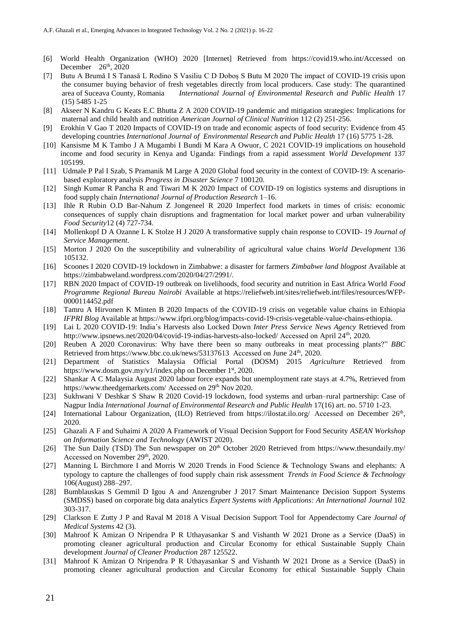- [6] World Health Organization (WHO) 2020 [Internet] Retrieved from https://covid19.who.int/Accessed on December  $26<sup>th</sup>$ , 2020
- [7] Butu A Brumă I S Tanasă L Rodino S Vasiliu C D Doboș S Butu M 2020 The impact of COVID-19 crisis upon the consumer buying behavior of fresh vegetables directly from local producers. Case study: The quarantined area of Suceava County, Romania *International Journal of Environmental Research and Public Health* 17 area of Suceava County, Romania *International Journal of Environmental Research and Public Health* 17 (15) 5485 1-25
- [8] Akseer N Kandru G Keats E.C Bhutta Z A 2020 COVID-19 pandemic and mitigation strategies: Implications for maternal and child health and nutrition *American Journal of Clinical Nutrition* 112 (2) 251-256.
- [9] Erokhin V Gao T 2020 Impacts of COVID-19 on trade and economic aspects of food security: Evidence from 45 developing countries *International Journal of Environmental Research and Public Health* 17 (16) 5775 1-28.
- [10] Kansisme M K Tambo J A Mugambi I Bundi M Kara A Owuor, C 2021 COVID-19 implications on household income and food security in Kenya and Uganda: Findings from a rapid assessment *World Development* 137 105199.
- [11] Udmale P Pal I Szab, S Pramanik M Large A 2020 Global food security in the context of COVID-19: A scenariobased exploratory analysis *Progress in Disaster Science* 7 100120.
- [12] Singh Kumar R Pancha R and Tiwari M K 2020 Impact of COVID-19 on logistics systems and disruptions in food supply chain *International Journal of Production Research* 1–16.
- [13] Ihle R Rubin O.D Bar-Nahum Z Jongeneel R 2020 Imperfect food markets in times of crisis: economic consequences of supply chain disruptions and fragmentation for local market power and urban vulnerability *Food Security*12 (4) 727-734.
- [14] Mollenkopf D A Ozanne L K Stolze H J 2020 A transformative supply chain response to COVID- 19 *Journal of Service Management*.
- [15] Morton J 2020 On the susceptibility and vulnerability of agricultural value chains *World Development* 136 105132.
- [16] Scoones I 2020 COVID-19 lockdown in Zimbabwe: a disaster for farmers *Zimbabwe land blogpost* Available at https://zimbabweland.wordpress.com/2020/04/27/2991/.
- [17] RBN 2020 Impact of COVID-19 outbreak on livelihoods, food security and nutrition in East Africa World *Food Programme Regional Bureau Nairobi* Available at https://reliefweb.int/sites/reliefweb.int/files/resources/WFP-0000114452.pdf
- [18] Tamru A Hirvonen K Minten B 2020 Impacts of the COVID-19 crisis on vegetable value chains in Ethiopia *IFPRI Blog* Available at https://www.ifpri.org/blog/impacts-covid-19-crisis-vegetable-value[-chains-ethiopia.](https://www.ifpri.org/blog/impacts-covid-19-crisis-vegetable-value-chains-ethiopia)
- [19] Lai L 2020 COVID-19: India's Harvests also Locked Down *Inter Press Service News Agency* Retrieved from [http://www.ipsnews.net/2020/04/covid-19-indias-harvests-also-locked/](http://www.ipsnews.net/2020/04/covid-19-indias-%20harvests-also-locked/) Accessed on April 24th, 2020.
- [20] Reuben A 2020 Coronavirus: Why have there been so many outbreaks in meat processing plants?" *BBC* Retrieved from <https://www.bbc.co.uk/news/53137613> Accessed on June 24<sup>th</sup>, 2020.
- [21] Department of Statistics Malaysia Official Portal (DOSM) 2015 *Agriculture* Retrieved from <https://www.dosm.gov.my/v1/index.php> on December 1st, 2020.
- [22] Shankar A C Malaysia August 2020 labour force expands but unemployment rate stays at 4.7%, Retrieved from <https://www.theedgemarkets.com/> Accessed on 29<sup>th</sup> Nov 2020.
- [23] Sukhwani V Deshkar S Shaw R 2020 Covid-19 lockdown, food systems and urban–rural partnership: Case of Nagpur India *International Journal of Environmental Research and Public Health* 17(16) art. no. 5710 1-23.
- [24] International Labour Organization, (ILO) Retrieved from <https://ilostat.ilo.org/> Accessed on December 26<sup>th</sup>, 2020.
- [25] Ghazali A F and Suhaimi A 2020 A Framework of Visual Decision Support for Food Security *ASEAN Workshop on Information Science and Technology* (AWIST 2020).
- [26] The Sun Daily (TSD) The Sun newspaper on 20<sup>th</sup> October 2020 Retrieved from https://www.thesundaily.my/ Accessed on November 29<sup>th</sup>, 2020.
- [27] Manning L Birchmore I and Morris W 2020 Trends in Food Science & Technology Swans and elephants: A typology to capture the challenges of food supply chain risk assessment *Trends in Food Science & Technology* 106(August) 288–297.
- [28] Bumblauskas S Gemmil D Igou A and Anzengruber J 2017 Smart Maintenance Decision Support Systems (SMDSS) based on corporate big data analytics *Expert Systems with Applications: An International Journal* 102 303-317.
- [29] Clarkson E Zutty J P and Raval M 2018 A Visual Decision Support Tool for Appendectomy Care *Journal of Medical Systems* 42 (3).
- [30] Mahroof K Amizan O Nripendra P R Uthayasankar S and Vishanth W 2021 Drone as a Service (DaaS) in promoting cleaner agricultural production and Circular Economy for ethical Sustainable Supply Chain development *Journal of Cleaner Production* 287 125522.
- [31] Mahroof K Amizan O Nripendra P R Uthayasankar S and Vishanth W 2021 Drone as a Service (DaaS) in promoting cleaner agricultural production and Circular Economy for ethical Sustainable Supply Chain